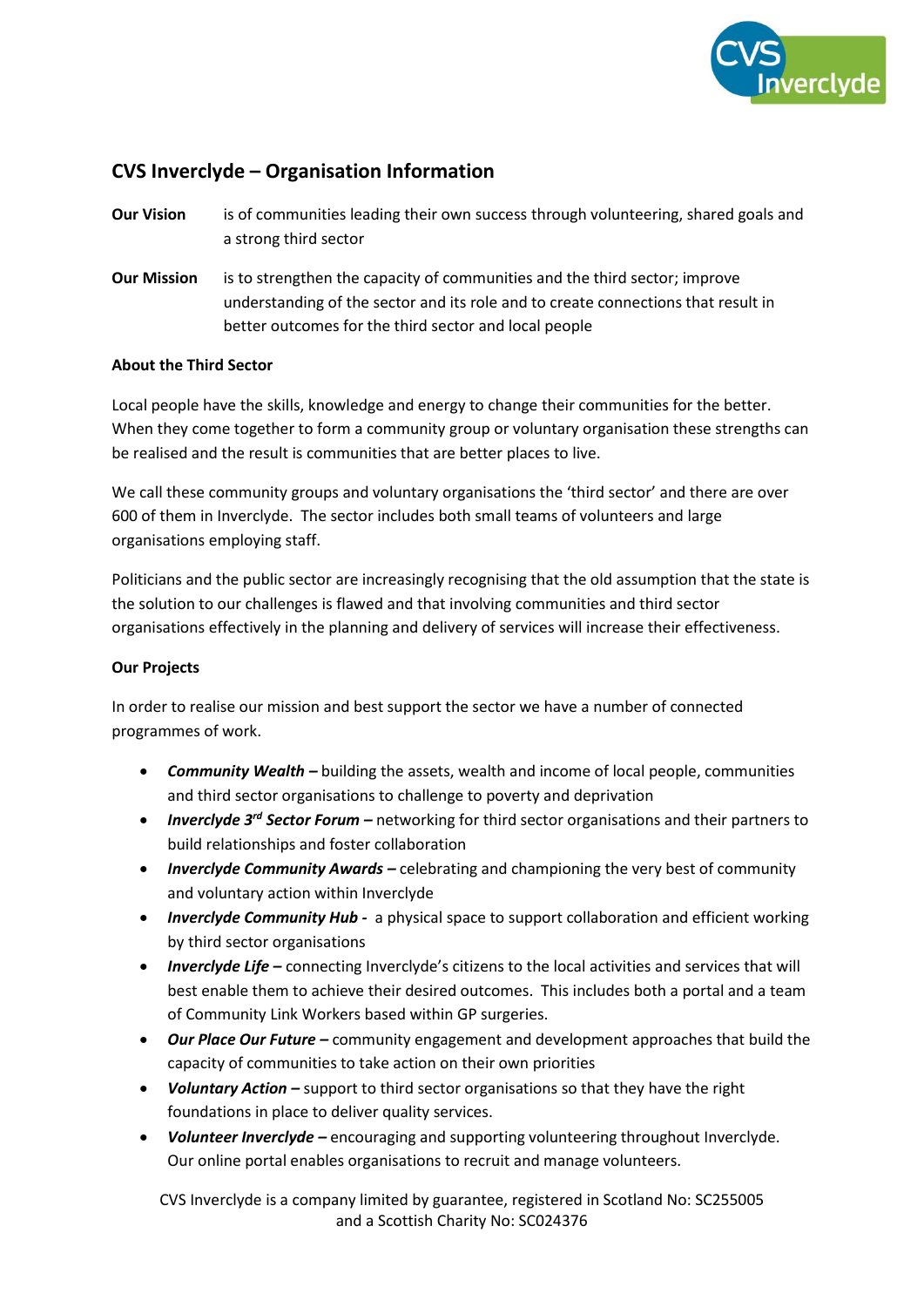

# **CVS Inverclyde – Organisation Information**

- **Our Vision** is of communities leading their own success through volunteering, shared goals and a strong third sector
- **Our Mission** is to strengthen the capacity of communities and the third sector; improve understanding of the sector and its role and to create connections that result in better outcomes for the third sector and local people

### **About the Third Sector**

Local people have the skills, knowledge and energy to change their communities for the better. When they come together to form a community group or voluntary organisation these strengths can be realised and the result is communities that are better places to live.

We call these community groups and voluntary organisations the 'third sector' and there are over 600 of them in Inverclyde. The sector includes both small teams of volunteers and large organisations employing staff.

Politicians and the public sector are increasingly recognising that the old assumption that the state is the solution to our challenges is flawed and that involving communities and third sector organisations effectively in the planning and delivery of services will increase their effectiveness.

## **Our Projects**

In order to realise our mission and best support the sector we have a number of connected programmes of work.

- *Community Wealth –* building the assets, wealth and income of local people, communities and third sector organisations to challenge to poverty and deprivation
- *Inverclyde 3rd Sector Forum –* networking for third sector organisations and their partners to build relationships and foster collaboration
- *Inverclyde Community Awards –* celebrating and championing the very best of community and voluntary action within Inverclyde
- *Inverclyde Community Hub -* a physical space to support collaboration and efficient working by third sector organisations
- *Inverclyde Life –* connecting Inverclyde's citizens to the local activities and services that will best enable them to achieve their desired outcomes. This includes both a portal and a team of Community Link Workers based within GP surgeries.
- *Our Place Our Future –* community engagement and development approaches that build the capacity of communities to take action on their own priorities
- *Voluntary Action –* support to third sector organisations so that they have the right foundations in place to deliver quality services.
- *Volunteer Inverclyde –* encouraging and supporting volunteering throughout Inverclyde. Our online portal enables organisations to recruit and manage volunteers.

CVS Inverclyde is a company limited by guarantee, registered in Scotland No: SC255005 and a Scottish Charity No: SC024376